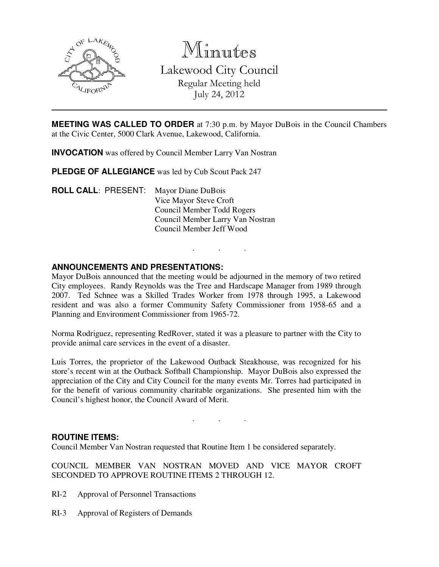

Minutes

Lakewood City Council Regular Meeting held July 24, 2012

**MEETING WAS CALLED TO ORDER** at 7:30 p.m. by Mayor DuBois in the Council Chambers at the Civic Center, 5000 Clark Avenue, Lakewood, California.

**INVOCATION** was offered by Council Member Larry Van Nostran

**PLEDGE OF ALLEGIANCE** was led by Cub Scout Pack 247

**ROLL CALL**: PRESENT: Mayor Diane DuBois Vice Mayor Steve Croft Council Member Todd Rogers Council Member Larry Van Nostran Council Member Jeff Wood

## **ANNOUNCEMENTS AND PRESENTATIONS:**

Mayor DuBois announced that the meeting would be adjourned in the memory of two retired City employees. Randy Reynolds was the Tree and Hardscape Manager from 1989 through 2007. Ted Schnee was a Skilled Trades Worker from 1978 through 1995, a Lakewood resident and was also a former Community Safety Commissioner from 1958-65 and a Planning and Environment Commissioner from 1965-72.

. . .

Norma Rodriguez, representing RedRover, stated it was a pleasure to partner with the City to provide animal care services in the event of a disaster.

Luis Torres, the proprietor of the Lakewood Outback Steakhouse, was recognized for his store's recent win at the Outback Softball Championship. Mayor DuBois also expressed the appreciation of the City and City Council for the many events Mr. Torres had participated in for the benefit of various community charitable organizations. She presented him with the Council's highest honor, the Council Award of Merit.

. . .

#### **ROUTINE ITEMS:**

Council Member Van Nostran requested that Routine Item 1 be considered separately.

COUNCIL MEMBER VAN NOSTRAN MOVED AND VICE MAYOR CROFT SECONDED TO APPROVE ROUTINE ITEMS 2 THROUGH 12.

- RI-2 Approval of Personnel Transactions
- RI-3 Approval of Registers of Demands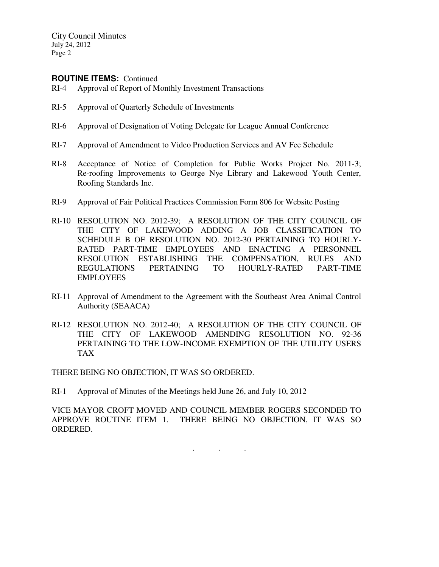City Council Minutes July 24, 2012 Page 2

### **ROUTINE ITEMS:** Continued

- RI-4 Approval of Report of Monthly Investment Transactions
- RI-5 Approval of Quarterly Schedule of Investments
- RI-6 Approval of Designation of Voting Delegate for League Annual Conference
- RI-7 Approval of Amendment to Video Production Services and AV Fee Schedule
- RI-8 Acceptance of Notice of Completion for Public Works Project No. 2011-3; Re-roofing Improvements to George Nye Library and Lakewood Youth Center, Roofing Standards Inc.
- RI-9 Approval of Fair Political Practices Commission Form 806 for Website Posting
- RI-10 RESOLUTION NO. 2012-39; A RESOLUTION OF THE CITY COUNCIL OF THE CITY OF LAKEWOOD ADDING A JOB CLASSIFICATION TO SCHEDULE B OF RESOLUTION NO. 2012-30 PERTAINING TO HOURLY-RATED PART-TIME EMPLOYEES AND ENACTING A PERSONNEL RESOLUTION ESTABLISHING THE COMPENSATION, RULES AND REGULATIONS PERTAINING TO HOURLY-RATED PART-TIME EMPLOYEES
- RI-11 Approval of Amendment to the Agreement with the Southeast Area Animal Control Authority (SEAACA)
- RI-12 RESOLUTION NO. 2012-40; A RESOLUTION OF THE CITY COUNCIL OF THE CITY OF LAKEWOOD AMENDING RESOLUTION NO. 92-36 PERTAINING TO THE LOW-INCOME EXEMPTION OF THE UTILITY USERS TAX

THERE BEING NO OBJECTION, IT WAS SO ORDERED.

RI-1 Approval of Minutes of the Meetings held June 26, and July 10, 2012

VICE MAYOR CROFT MOVED AND COUNCIL MEMBER ROGERS SECONDED TO APPROVE ROUTINE ITEM 1. THERE BEING NO OBJECTION, IT WAS SO ORDERED.

. . .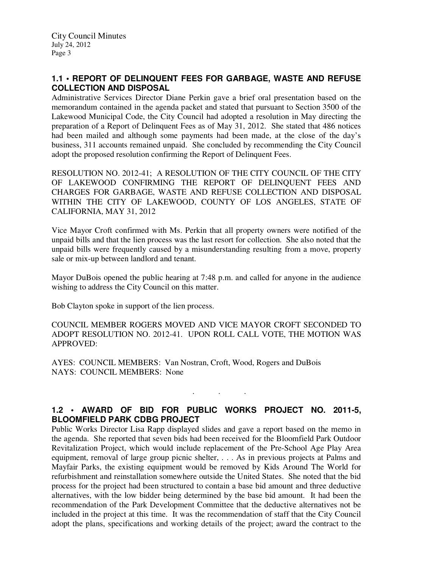# **1.1 • REPORT OF DELINQUENT FEES FOR GARBAGE, WASTE AND REFUSE COLLECTION AND DISPOSAL**

Administrative Services Director Diane Perkin gave a brief oral presentation based on the memorandum contained in the agenda packet and stated that pursuant to Section 3500 of the Lakewood Municipal Code, the City Council had adopted a resolution in May directing the preparation of a Report of Delinquent Fees as of May 31, 2012. She stated that 486 notices had been mailed and although some payments had been made, at the close of the day's business, 311 accounts remained unpaid. She concluded by recommending the City Council adopt the proposed resolution confirming the Report of Delinquent Fees.

RESOLUTION NO. 2012-41; A RESOLUTION OF THE CITY COUNCIL OF THE CITY OF LAKEWOOD CONFIRMING THE REPORT OF DELINQUENT FEES AND CHARGES FOR GARBAGE, WASTE AND REFUSE COLLECTION AND DISPOSAL WITHIN THE CITY OF LAKEWOOD, COUNTY OF LOS ANGELES, STATE OF CALIFORNIA, MAY 31, 2012

Vice Mayor Croft confirmed with Ms. Perkin that all property owners were notified of the unpaid bills and that the lien process was the last resort for collection. She also noted that the unpaid bills were frequently caused by a misunderstanding resulting from a move, property sale or mix-up between landlord and tenant.

Mayor DuBois opened the public hearing at 7:48 p.m. and called for anyone in the audience wishing to address the City Council on this matter.

Bob Clayton spoke in support of the lien process.

COUNCIL MEMBER ROGERS MOVED AND VICE MAYOR CROFT SECONDED TO ADOPT RESOLUTION NO. 2012-41. UPON ROLL CALL VOTE, THE MOTION WAS APPROVED:

AYES: COUNCIL MEMBERS: Van Nostran, Croft, Wood, Rogers and DuBois NAYS: COUNCIL MEMBERS: None

# **1.2 • AWARD OF BID FOR PUBLIC WORKS PROJECT NO. 2011-5, BLOOMFIELD PARK CDBG PROJECT**

. . .

Public Works Director Lisa Rapp displayed slides and gave a report based on the memo in the agenda. She reported that seven bids had been received for the Bloomfield Park Outdoor Revitalization Project, which would include replacement of the Pre-School Age Play Area equipment, removal of large group picnic shelter, . . . As in previous projects at Palms and Mayfair Parks, the existing equipment would be removed by Kids Around The World for refurbishment and reinstallation somewhere outside the United States. She noted that the bid process for the project had been structured to contain a base bid amount and three deductive alternatives, with the low bidder being determined by the base bid amount. It had been the recommendation of the Park Development Committee that the deductive alternatives not be included in the project at this time. It was the recommendation of staff that the City Council adopt the plans, specifications and working details of the project; award the contract to the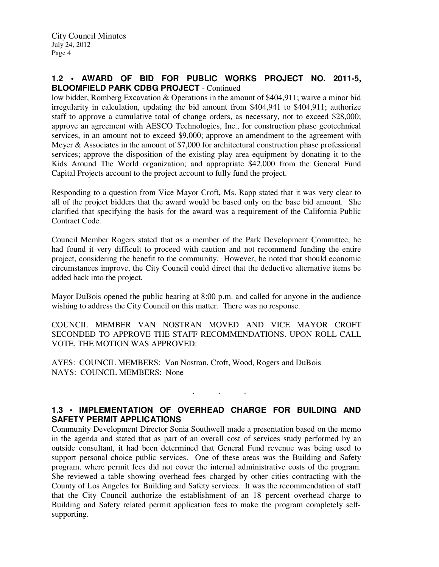## **1.2 • AWARD OF BID FOR PUBLIC WORKS PROJECT NO. 2011-5, BLOOMFIELD PARK CDBG PROJECT** - Continued

low bidder, Romberg Excavation & Operations in the amount of \$404,911; waive a minor bid irregularity in calculation, updating the bid amount from \$404,941 to \$404,911; authorize staff to approve a cumulative total of change orders, as necessary, not to exceed \$28,000; approve an agreement with AESCO Technologies, Inc., for construction phase geotechnical services, in an amount not to exceed \$9,000; approve an amendment to the agreement with Meyer & Associates in the amount of \$7,000 for architectural construction phase professional services; approve the disposition of the existing play area equipment by donating it to the Kids Around The World organization; and appropriate \$42,000 from the General Fund Capital Projects account to the project account to fully fund the project.

Responding to a question from Vice Mayor Croft, Ms. Rapp stated that it was very clear to all of the project bidders that the award would be based only on the base bid amount. She clarified that specifying the basis for the award was a requirement of the California Public Contract Code.

Council Member Rogers stated that as a member of the Park Development Committee, he had found it very difficult to proceed with caution and not recommend funding the entire project, considering the benefit to the community. However, he noted that should economic circumstances improve, the City Council could direct that the deductive alternative items be added back into the project.

Mayor DuBois opened the public hearing at 8:00 p.m. and called for anyone in the audience wishing to address the City Council on this matter. There was no response.

COUNCIL MEMBER VAN NOSTRAN MOVED AND VICE MAYOR CROFT SECONDED TO APPROVE THE STAFF RECOMMENDATIONS. UPON ROLL CALL VOTE, THE MOTION WAS APPROVED:

AYES: COUNCIL MEMBERS: Van Nostran, Croft, Wood, Rogers and DuBois NAYS: COUNCIL MEMBERS: None

# **1.3 • IMPLEMENTATION OF OVERHEAD CHARGE FOR BUILDING AND SAFETY PERMIT APPLICATIONS**

. . .

Community Development Director Sonia Southwell made a presentation based on the memo in the agenda and stated that as part of an overall cost of services study performed by an outside consultant, it had been determined that General Fund revenue was being used to support personal choice public services. One of these areas was the Building and Safety program, where permit fees did not cover the internal administrative costs of the program. She reviewed a table showing overhead fees charged by other cities contracting with the County of Los Angeles for Building and Safety services. It was the recommendation of staff that the City Council authorize the establishment of an 18 percent overhead charge to Building and Safety related permit application fees to make the program completely selfsupporting.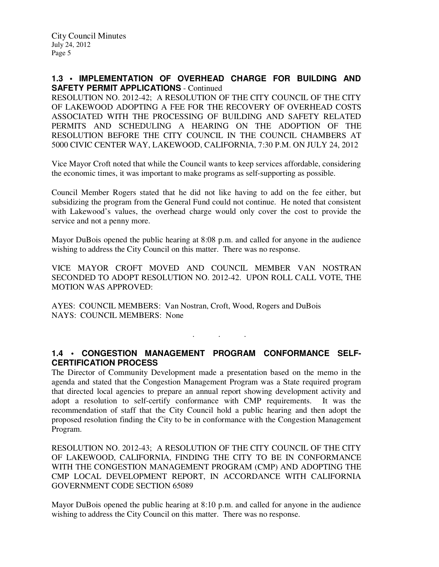### **1.3 • IMPLEMENTATION OF OVERHEAD CHARGE FOR BUILDING AND SAFETY PERMIT APPLICATIONS** - Continued

RESOLUTION NO. 2012-42; A RESOLUTION OF THE CITY COUNCIL OF THE CITY OF LAKEWOOD ADOPTING A FEE FOR THE RECOVERY OF OVERHEAD COSTS ASSOCIATED WITH THE PROCESSING OF BUILDING AND SAFETY RELATED PERMITS AND SCHEDULING A HEARING ON THE ADOPTION OF THE RESOLUTION BEFORE THE CITY COUNCIL IN THE COUNCIL CHAMBERS AT 5000 CIVIC CENTER WAY, LAKEWOOD, CALIFORNIA, 7:30 P.M. ON JULY 24, 2012

Vice Mayor Croft noted that while the Council wants to keep services affordable, considering the economic times, it was important to make programs as self-supporting as possible.

Council Member Rogers stated that he did not like having to add on the fee either, but subsidizing the program from the General Fund could not continue. He noted that consistent with Lakewood's values, the overhead charge would only cover the cost to provide the service and not a penny more.

Mayor DuBois opened the public hearing at 8:08 p.m. and called for anyone in the audience wishing to address the City Council on this matter. There was no response.

VICE MAYOR CROFT MOVED AND COUNCIL MEMBER VAN NOSTRAN SECONDED TO ADOPT RESOLUTION NO. 2012-42. UPON ROLL CALL VOTE, THE MOTION WAS APPROVED:

AYES: COUNCIL MEMBERS: Van Nostran, Croft, Wood, Rogers and DuBois NAYS: COUNCIL MEMBERS: None

# **1.4 • CONGESTION MANAGEMENT PROGRAM CONFORMANCE SELF-CERTIFICATION PROCESS**

. . .

The Director of Community Development made a presentation based on the memo in the agenda and stated that the Congestion Management Program was a State required program that directed local agencies to prepare an annual report showing development activity and adopt a resolution to self-certify conformance with CMP requirements. It was the recommendation of staff that the City Council hold a public hearing and then adopt the proposed resolution finding the City to be in conformance with the Congestion Management Program.

RESOLUTION NO. 2012-43; A RESOLUTION OF THE CITY COUNCIL OF THE CITY OF LAKEWOOD, CALIFORNIA, FINDING THE CITY TO BE IN CONFORMANCE WITH THE CONGESTION MANAGEMENT PROGRAM (CMP) AND ADOPTING THE CMP LOCAL DEVELOPMENT REPORT, IN ACCORDANCE WITH CALIFORNIA GOVERNMENT CODE SECTION 65089

Mayor DuBois opened the public hearing at 8:10 p.m. and called for anyone in the audience wishing to address the City Council on this matter. There was no response.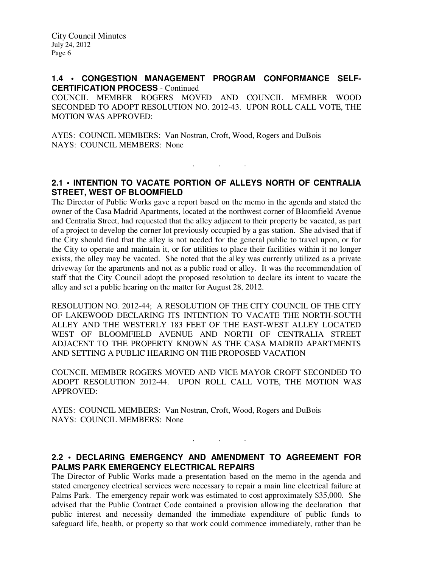### **1.4 • CONGESTION MANAGEMENT PROGRAM CONFORMANCE SELF-CERTIFICATION PROCESS** - Continued

COUNCIL MEMBER ROGERS MOVED AND COUNCIL MEMBER WOOD SECONDED TO ADOPT RESOLUTION NO. 2012-43. UPON ROLL CALL VOTE, THE MOTION WAS APPROVED:

AYES: COUNCIL MEMBERS: Van Nostran, Croft, Wood, Rogers and DuBois NAYS: COUNCIL MEMBERS: None

# **2.1 • INTENTION TO VACATE PORTION OF ALLEYS NORTH OF CENTRALIA STREET, WEST OF BLOOMFIELD**

. . .

The Director of Public Works gave a report based on the memo in the agenda and stated the owner of the Casa Madrid Apartments, located at the northwest corner of Bloomfield Avenue and Centralia Street, had requested that the alley adjacent to their property be vacated, as part of a project to develop the corner lot previously occupied by a gas station. She advised that if the City should find that the alley is not needed for the general public to travel upon, or for the City to operate and maintain it, or for utilities to place their facilities within it no longer exists, the alley may be vacated. She noted that the alley was currently utilized as a private driveway for the apartments and not as a public road or alley. It was the recommendation of staff that the City Council adopt the proposed resolution to declare its intent to vacate the alley and set a public hearing on the matter for August 28, 2012.

RESOLUTION NO. 2012-44; A RESOLUTION OF THE CITY COUNCIL OF THE CITY OF LAKEWOOD DECLARING ITS INTENTION TO VACATE THE NORTH-SOUTH ALLEY AND THE WESTERLY 183 FEET OF THE EAST-WEST ALLEY LOCATED WEST OF BLOOMFIELD AVENUE AND NORTH OF CENTRALIA STREET ADJACENT TO THE PROPERTY KNOWN AS THE CASA MADRID APARTMENTS AND SETTING A PUBLIC HEARING ON THE PROPOSED VACATION

COUNCIL MEMBER ROGERS MOVED AND VICE MAYOR CROFT SECONDED TO ADOPT RESOLUTION 2012-44. UPON ROLL CALL VOTE, THE MOTION WAS APPROVED:

AYES: COUNCIL MEMBERS: Van Nostran, Croft, Wood, Rogers and DuBois NAYS: COUNCIL MEMBERS: None

# **2.2 • DECLARING EMERGENCY AND AMENDMENT TO AGREEMENT FOR PALMS PARK EMERGENCY ELECTRICAL REPAIRS**

. . .

The Director of Public Works made a presentation based on the memo in the agenda and stated emergency electrical services were necessary to repair a main line electrical failure at Palms Park. The emergency repair work was estimated to cost approximately \$35,000. She advised that the Public Contract Code contained a provision allowing the declaration that public interest and necessity demanded the immediate expenditure of public funds to safeguard life, health, or property so that work could commence immediately, rather than be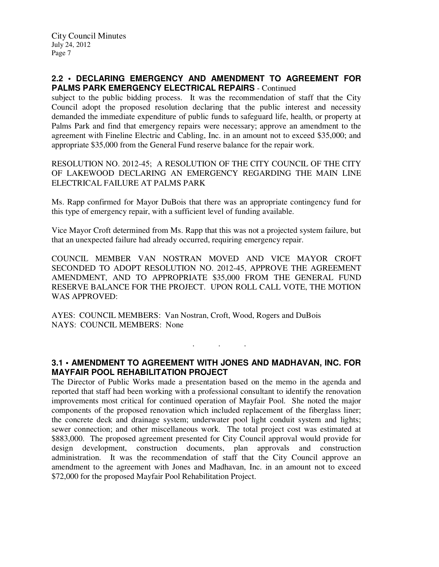## **2.2 • DECLARING EMERGENCY AND AMENDMENT TO AGREEMENT FOR PALMS PARK EMERGENCY ELECTRICAL REPAIRS** - Continued

subject to the public bidding process. It was the recommendation of staff that the City Council adopt the proposed resolution declaring that the public interest and necessity demanded the immediate expenditure of public funds to safeguard life, health, or property at Palms Park and find that emergency repairs were necessary; approve an amendment to the agreement with Fineline Electric and Cabling, Inc. in an amount not to exceed \$35,000; and appropriate \$35,000 from the General Fund reserve balance for the repair work.

RESOLUTION NO. 2012-45; A RESOLUTION OF THE CITY COUNCIL OF THE CITY OF LAKEWOOD DECLARING AN EMERGENCY REGARDING THE MAIN LINE ELECTRICAL FAILURE AT PALMS PARK

Ms. Rapp confirmed for Mayor DuBois that there was an appropriate contingency fund for this type of emergency repair, with a sufficient level of funding available.

Vice Mayor Croft determined from Ms. Rapp that this was not a projected system failure, but that an unexpected failure had already occurred, requiring emergency repair.

COUNCIL MEMBER VAN NOSTRAN MOVED AND VICE MAYOR CROFT SECONDED TO ADOPT RESOLUTION NO. 2012-45, APPROVE THE AGREEMENT AMENDMENT, AND TO APPROPRIATE \$35,000 FROM THE GENERAL FUND RESERVE BALANCE FOR THE PROJECT. UPON ROLL CALL VOTE, THE MOTION WAS APPROVED:

AYES: COUNCIL MEMBERS: Van Nostran, Croft, Wood, Rogers and DuBois NAYS: COUNCIL MEMBERS: None

# **3.1 • AMENDMENT TO AGREEMENT WITH JONES AND MADHAVAN, INC. FOR MAYFAIR POOL REHABILITATION PROJECT**

. . .

The Director of Public Works made a presentation based on the memo in the agenda and reported that staff had been working with a professional consultant to identify the renovation improvements most critical for continued operation of Mayfair Pool. She noted the major components of the proposed renovation which included replacement of the fiberglass liner; the concrete deck and drainage system; underwater pool light conduit system and lights; sewer connection; and other miscellaneous work. The total project cost was estimated at \$883,000. The proposed agreement presented for City Council approval would provide for design development, construction documents, plan approvals and construction administration. It was the recommendation of staff that the City Council approve an amendment to the agreement with Jones and Madhavan, Inc. in an amount not to exceed \$72,000 for the proposed Mayfair Pool Rehabilitation Project.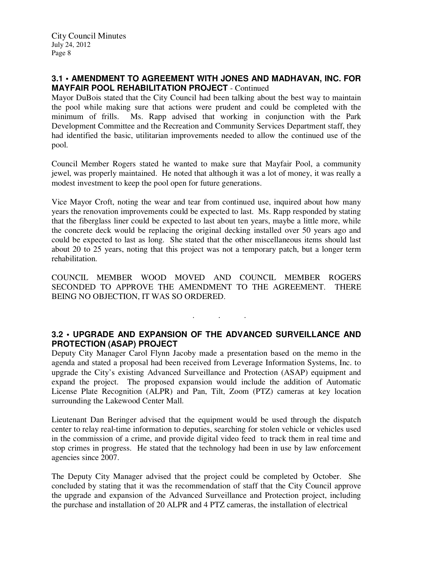## **3.1 • AMENDMENT TO AGREEMENT WITH JONES AND MADHAVAN, INC. FOR MAYFAIR POOL REHABILITATION PROJECT** - Continued

Mayor DuBois stated that the City Council had been talking about the best way to maintain the pool while making sure that actions were prudent and could be completed with the minimum of frills. Ms. Rapp advised that working in conjunction with the Park Development Committee and the Recreation and Community Services Department staff, they had identified the basic, utilitarian improvements needed to allow the continued use of the pool.

Council Member Rogers stated he wanted to make sure that Mayfair Pool, a community jewel, was properly maintained. He noted that although it was a lot of money, it was really a modest investment to keep the pool open for future generations.

Vice Mayor Croft, noting the wear and tear from continued use, inquired about how many years the renovation improvements could be expected to last. Ms. Rapp responded by stating that the fiberglass liner could be expected to last about ten years, maybe a little more, while the concrete deck would be replacing the original decking installed over 50 years ago and could be expected to last as long. She stated that the other miscellaneous items should last about 20 to 25 years, noting that this project was not a temporary patch, but a longer term rehabilitation.

COUNCIL MEMBER WOOD MOVED AND COUNCIL MEMBER ROGERS SECONDED TO APPROVE THE AMENDMENT TO THE AGREEMENT. THERE BEING NO OBJECTION, IT WAS SO ORDERED.

**3.2 • UPGRADE AND EXPANSION OF THE ADVANCED SURVEILLANCE AND PROTECTION (ASAP) PROJECT** 

. . .

Deputy City Manager Carol Flynn Jacoby made a presentation based on the memo in the agenda and stated a proposal had been received from Leverage Information Systems, Inc. to upgrade the City's existing Advanced Surveillance and Protection (ASAP) equipment and expand the project. The proposed expansion would include the addition of Automatic License Plate Recognition (ALPR) and Pan, Tilt, Zoom (PTZ) cameras at key location surrounding the Lakewood Center Mall.

Lieutenant Dan Beringer advised that the equipment would be used through the dispatch center to relay real-time information to deputies, searching for stolen vehicle or vehicles used in the commission of a crime, and provide digital video feed to track them in real time and stop crimes in progress. He stated that the technology had been in use by law enforcement agencies since 2007.

The Deputy City Manager advised that the project could be completed by October. She concluded by stating that it was the recommendation of staff that the City Council approve the upgrade and expansion of the Advanced Surveillance and Protection project, including the purchase and installation of 20 ALPR and 4 PTZ cameras, the installation of electrical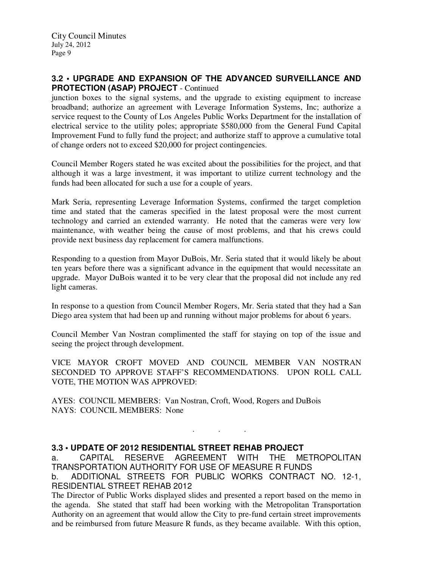## **3.2 • UPGRADE AND EXPANSION OF THE ADVANCED SURVEILLANCE AND PROTECTION (ASAP) PROJECT** - Continued

junction boxes to the signal systems, and the upgrade to existing equipment to increase broadband; authorize an agreement with Leverage Information Systems, Inc; authorize a service request to the County of Los Angeles Public Works Department for the installation of electrical service to the utility poles; appropriate \$580,000 from the General Fund Capital Improvement Fund to fully fund the project; and authorize staff to approve a cumulative total of change orders not to exceed \$20,000 for project contingencies.

Council Member Rogers stated he was excited about the possibilities for the project, and that although it was a large investment, it was important to utilize current technology and the funds had been allocated for such a use for a couple of years.

Mark Seria, representing Leverage Information Systems, confirmed the target completion time and stated that the cameras specified in the latest proposal were the most current technology and carried an extended warranty. He noted that the cameras were very low maintenance, with weather being the cause of most problems, and that his crews could provide next business day replacement for camera malfunctions.

Responding to a question from Mayor DuBois, Mr. Seria stated that it would likely be about ten years before there was a significant advance in the equipment that would necessitate an upgrade. Mayor DuBois wanted it to be very clear that the proposal did not include any red light cameras.

In response to a question from Council Member Rogers, Mr. Seria stated that they had a San Diego area system that had been up and running without major problems for about 6 years.

Council Member Van Nostran complimented the staff for staying on top of the issue and seeing the project through development.

VICE MAYOR CROFT MOVED AND COUNCIL MEMBER VAN NOSTRAN SECONDED TO APPROVE STAFF'S RECOMMENDATIONS. UPON ROLL CALL VOTE, THE MOTION WAS APPROVED:

AYES: COUNCIL MEMBERS: Van Nostran, Croft, Wood, Rogers and DuBois NAYS: COUNCIL MEMBERS: None

# **3.3 • UPDATE OF 2012 RESIDENTIAL STREET REHAB PROJECT**

a. CAPITAL RESERVE AGREEMENT WITH THE METROPOLITAN TRANSPORTATION AUTHORITY FOR USE OF MEASURE R FUNDS b. ADDITIONAL STREETS FOR PUBLIC WORKS CONTRACT NO. 12-1, RESIDENTIAL STREET REHAB 2012

. . .

The Director of Public Works displayed slides and presented a report based on the memo in the agenda. She stated that staff had been working with the Metropolitan Transportation Authority on an agreement that would allow the City to pre-fund certain street improvements and be reimbursed from future Measure R funds, as they became available. With this option,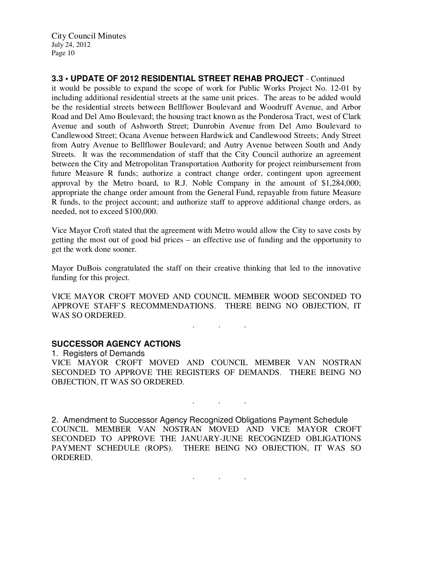City Council Minutes July 24, 2012 Page 10

**3.3 • UPDATE OF 2012 RESIDENTIAL STREET REHAB PROJECT** - Continued it would be possible to expand the scope of work for Public Works Project No. 12-01 by including additional residential streets at the same unit prices. The areas to be added would be the residential streets between Bellflower Boulevard and Woodruff Avenue, and Arbor Road and Del Amo Boulevard; the housing tract known as the Ponderosa Tract, west of Clark Avenue and south of Ashworth Street; Dunrobin Avenue from Del Amo Boulevard to Candlewood Street; Ocana Avenue between Hardwick and Candlewood Streets; Andy Street from Autry Avenue to Bellflower Boulevard; and Autry Avenue between South and Andy Streets. It was the recommendation of staff that the City Council authorize an agreement between the City and Metropolitan Transportation Authority for project reimbursement from future Measure R funds; authorize a contract change order, contingent upon agreement approval by the Metro board, to R.J. Noble Company in the amount of \$1,284,000; appropriate the change order amount from the General Fund, repayable from future Measure R funds, to the project account; and authorize staff to approve additional change orders, as needed, not to exceed \$100,000.

Vice Mayor Croft stated that the agreement with Metro would allow the City to save costs by getting the most out of good bid prices – an effective use of funding and the opportunity to get the work done sooner.

Mayor DuBois congratulated the staff on their creative thinking that led to the innovative funding for this project.

VICE MAYOR CROFT MOVED AND COUNCIL MEMBER WOOD SECONDED TO APPROVE STAFF'S RECOMMENDATIONS. THERE BEING NO OBJECTION, IT WAS SO ORDERED.

 $\mathcal{L}_{\mathcal{A}}$  . The simple state  $\mathcal{L}_{\mathcal{A}}$ 

. . .

## **SUCCESSOR AGENCY ACTIONS**

1. Registers of Demands VICE MAYOR CROFT MOVED AND COUNCIL MEMBER VAN NOSTRAN SECONDED TO APPROVE THE REGISTERS OF DEMANDS. THERE BEING NO OBJECTION, IT WAS SO ORDERED.

2. Amendment to Successor Agency Recognized Obligations Payment Schedule COUNCIL MEMBER VAN NOSTRAN MOVED AND VICE MAYOR CROFT SECONDED TO APPROVE THE JANUARY-JUNE RECOGNIZED OBLIGATIONS PAYMENT SCHEDULE (ROPS). THERE BEING NO OBJECTION, IT WAS SO ORDERED.

. . .